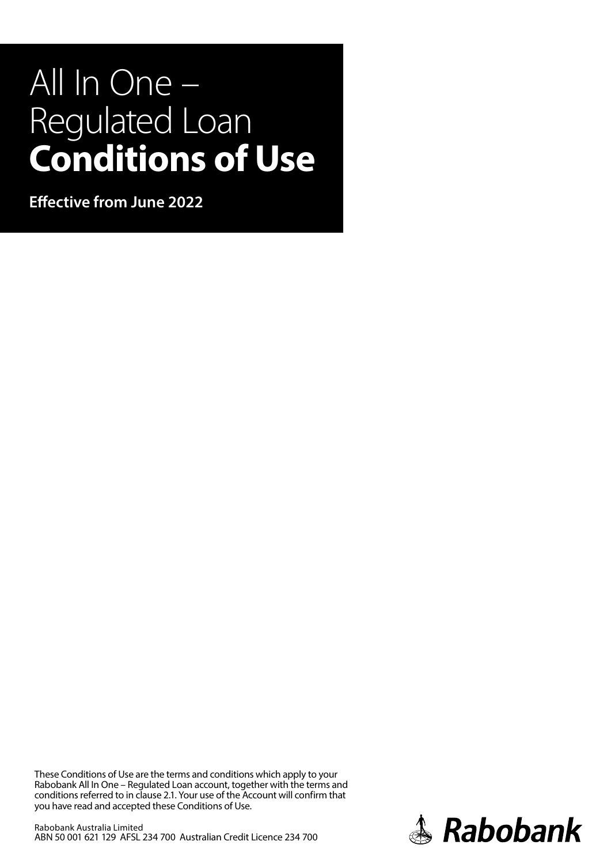# All In One – Regulated Loan **Conditions of Use**

**Effective from June 2022**

These Conditions of Use are the terms and conditions which apply to your Rabobank All In One – Regulated Loan account, together with the terms and conditions referred to in clause 2.1. Your use of the Account will confirm that you have read and accepted these Conditions of Use.

Rabobank Australia Limited ABN 50 001 621 129 AFSL 234 700 Australian Credit Licence 234 700

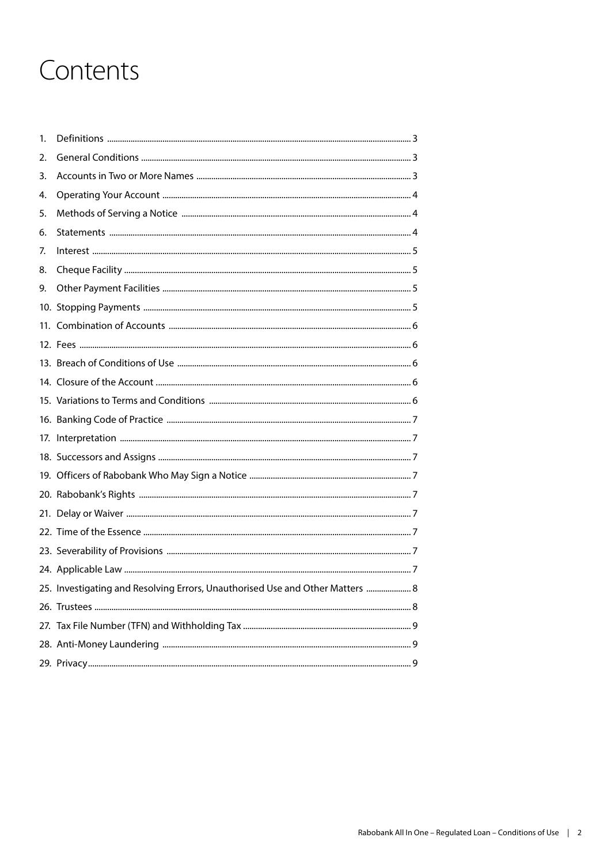## Contents

| 1. |                                                                               |  |
|----|-------------------------------------------------------------------------------|--|
| 2. |                                                                               |  |
| 3. |                                                                               |  |
| 4. |                                                                               |  |
| 5. |                                                                               |  |
| 6. |                                                                               |  |
| 7. |                                                                               |  |
| 8. |                                                                               |  |
| 9. |                                                                               |  |
|    |                                                                               |  |
|    |                                                                               |  |
|    |                                                                               |  |
|    |                                                                               |  |
|    |                                                                               |  |
|    |                                                                               |  |
|    |                                                                               |  |
|    |                                                                               |  |
|    |                                                                               |  |
|    |                                                                               |  |
|    |                                                                               |  |
|    |                                                                               |  |
|    |                                                                               |  |
|    |                                                                               |  |
|    |                                                                               |  |
|    | 25. Investigating and Resolving Errors, Unauthorised Use and Other Matters  8 |  |
|    |                                                                               |  |
|    |                                                                               |  |
|    |                                                                               |  |
|    |                                                                               |  |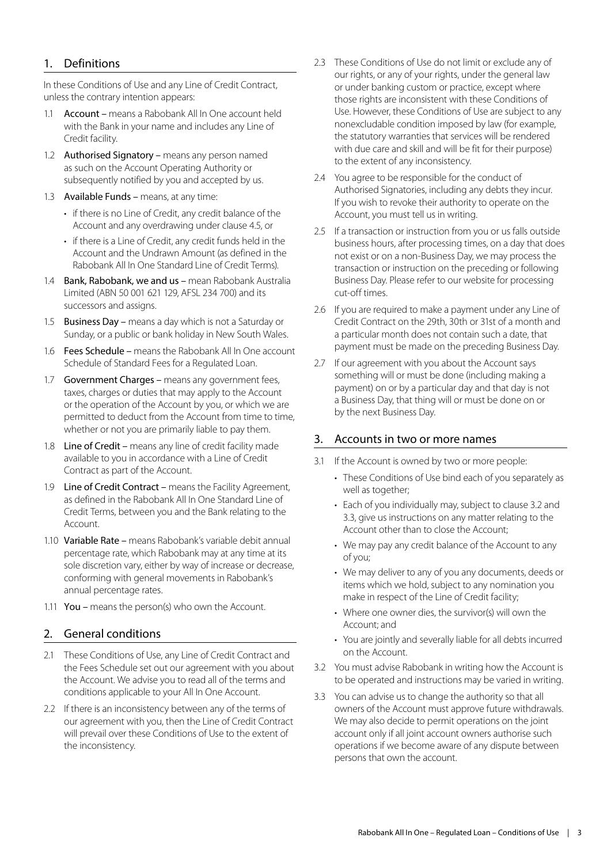#### 1. Definitions

In these Conditions of Use and any Line of Credit Contract, unless the contrary intention appears:

- 1.1 Account means a Rabobank All In One account held with the Bank in your name and includes any Line of Credit facility.
- 1.2 **Authorised Signatory –** means any person named as such on the Account Operating Authority or subsequently notified by you and accepted by us.
- 1.3 Available Funds means, at any time:
	- if there is no Line of Credit, any credit balance of the Account and any overdrawing under clause 4.5, or
	- if there is a Line of Credit, any credit funds held in the Account and the Undrawn Amount (as defined in the Rabobank All In One Standard Line of Credit Terms).
- 1.4 Bank, Rabobank, we and us mean Rabobank Australia Limited (ABN 50 001 621 129, AFSL 234 700) and its successors and assigns.
- 1.5 Business Day means a day which is not a Saturday or Sunday, or a public or bank holiday in New South Wales.
- 1.6 Fees Schedule means the Rabobank All In One account Schedule of Standard Fees for a Regulated Loan.
- 1.7 Government Charges means any government fees. taxes, charges or duties that may apply to the Account or the operation of the Account by you, or which we are permitted to deduct from the Account from time to time, whether or not you are primarily liable to pay them.
- 1.8 Line of Credit means any line of credit facility made available to you in accordance with a Line of Credit Contract as part of the Account.
- 1.9 Line of Credit Contract means the Facility Agreement, as defined in the Rabobank All In One Standard Line of Credit Terms, between you and the Bank relating to the Account.
- 1.10 Variable Rate means Rabobank's variable debit annual percentage rate, which Rabobank may at any time at its sole discretion vary, either by way of increase or decrease, conforming with general movements in Rabobank's annual percentage rates.
- 1.11 You means the person(s) who own the Account.

#### 2. General conditions

- 2.1 These Conditions of Use, any Line of Credit Contract and the Fees Schedule set out our agreement with you about the Account. We advise you to read all of the terms and conditions applicable to your All In One Account.
- 2.2 If there is an inconsistency between any of the terms of our agreement with you, then the Line of Credit Contract will prevail over these Conditions of Use to the extent of the inconsistency.
- 2.3 These Conditions of Use do not limit or exclude any of our rights, or any of your rights, under the general law or under banking custom or practice, except where those rights are inconsistent with these Conditions of Use. However, these Conditions of Use are subject to any nonexcludable condition imposed by law (for example, the statutory warranties that services will be rendered with due care and skill and will be fit for their purpose) to the extent of any inconsistency.
- 2.4 You agree to be responsible for the conduct of Authorised Signatories, including any debts they incur. If you wish to revoke their authority to operate on the Account, you must tell us in writing.
- 2.5 If a transaction or instruction from you or us falls outside business hours, after processing times, on a day that does not exist or on a non-Business Day, we may process the transaction or instruction on the preceding or following Business Day. Please refer to our website for processing cut-off times.
- 2.6 If you are required to make a payment under any Line of Credit Contract on the 29th, 30th or 31st of a month and a particular month does not contain such a date, that payment must be made on the preceding Business Day.
- 2.7 If our agreement with you about the Account says something will or must be done (including making a payment) on or by a particular day and that day is not a Business Day, that thing will or must be done on or by the next Business Day.

#### 3. Accounts in two or more names

- 3.1 If the Account is owned by two or more people:
	- These Conditions of Use bind each of you separately as well as together;
	- Each of you individually may, subject to clause 3.2 and 3.3, give us instructions on any matter relating to the Account other than to close the Account;
	- We may pay any credit balance of the Account to any of you;
	- We may deliver to any of you any documents, deeds or items which we hold, subject to any nomination you make in respect of the Line of Credit facility;
	- Where one owner dies, the survivor(s) will own the Account; and
	- You are jointly and severally liable for all debts incurred on the Account.
- 3.2 You must advise Rabobank in writing how the Account is to be operated and instructions may be varied in writing.
- 3.3 You can advise us to change the authority so that all owners of the Account must approve future withdrawals. We may also decide to permit operations on the joint account only if all joint account owners authorise such operations if we become aware of any dispute between persons that own the account.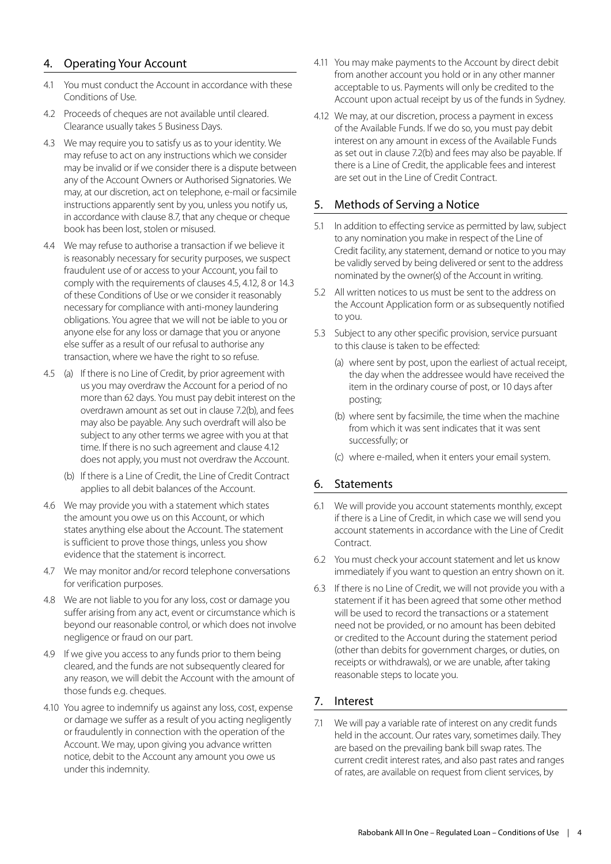#### 4. Operating Your Account

- 4.1 You must conduct the Account in accordance with these Conditions of Use.
- 4.2 Proceeds of cheques are not available until cleared. Clearance usually takes 5 Business Days.
- 4.3 We may require you to satisfy us as to your identity. We may refuse to act on any instructions which we consider may be invalid or if we consider there is a dispute between any of the Account Owners or Authorised Signatories. We may, at our discretion, act on telephone, e-mail or facsimile instructions apparently sent by you, unless you notify us, in accordance with clause 8.7, that any cheque or cheque book has been lost, stolen or misused.
- 4.4 We may refuse to authorise a transaction if we believe it is reasonably necessary for security purposes, we suspect fraudulent use of or access to your Account, you fail to comply with the requirements of clauses 4.5, 4.12, 8 or 14.3 of these Conditions of Use or we consider it reasonably necessary for compliance with anti-money laundering obligations. You agree that we will not be iable to you or anyone else for any loss or damage that you or anyone else suffer as a result of our refusal to authorise any transaction, where we have the right to so refuse.
- 4.5 (a) If there is no Line of Credit, by prior agreement with us you may overdraw the Account for a period of no more than 62 days. You must pay debit interest on the overdrawn amount as set out in clause 7.2(b), and fees may also be payable. Any such overdraft will also be subject to any other terms we agree with you at that time. If there is no such agreement and clause 4.12 does not apply, you must not overdraw the Account.
	- (b) If there is a Line of Credit, the Line of Credit Contract applies to all debit balances of the Account.
- 4.6 We may provide you with a statement which states the amount you owe us on this Account, or which states anything else about the Account. The statement is sufficient to prove those things, unless you show evidence that the statement is incorrect.
- 4.7 We may monitor and/or record telephone conversations for verification purposes.
- 4.8 We are not liable to you for any loss, cost or damage you suffer arising from any act, event or circumstance which is beyond our reasonable control, or which does not involve negligence or fraud on our part.
- 4.9 If we give you access to any funds prior to them being cleared, and the funds are not subsequently cleared for any reason, we will debit the Account with the amount of those funds e.g. cheques.
- 4.10 You agree to indemnify us against any loss, cost, expense or damage we suffer as a result of you acting negligently or fraudulently in connection with the operation of the Account. We may, upon giving you advance written notice, debit to the Account any amount you owe us under this indemnity.
- 4.11 You may make payments to the Account by direct debit from another account you hold or in any other manner acceptable to us. Payments will only be credited to the Account upon actual receipt by us of the funds in Sydney.
- 4.12 We may, at our discretion, process a payment in excess of the Available Funds. If we do so, you must pay debit interest on any amount in excess of the Available Funds as set out in clause 7.2(b) and fees may also be payable. If there is a Line of Credit, the applicable fees and interest are set out in the Line of Credit Contract.

#### 5. Methods of Serving a Notice

- 5.1 In addition to effecting service as permitted by law, subject to any nomination you make in respect of the Line of Credit facility, any statement, demand or notice to you may be validly served by being delivered or sent to the address nominated by the owner(s) of the Account in writing.
- 5.2 All written notices to us must be sent to the address on the Account Application form or as subsequently notified to you.
- 5.3 Subject to any other specific provision, service pursuant to this clause is taken to be effected:
	- (a) where sent by post, upon the earliest of actual receipt, the day when the addressee would have received the item in the ordinary course of post, or 10 days after posting;
	- (b) where sent by facsimile, the time when the machine from which it was sent indicates that it was sent successfully; or
	- (c) where e-mailed, when it enters your email system.

#### 6. Statements

- 6.1 We will provide you account statements monthly, except if there is a Line of Credit, in which case we will send you account statements in accordance with the Line of Credit Contract.
- 6.2 You must check your account statement and let us know immediately if you want to question an entry shown on it.
- 6.3 If there is no Line of Credit, we will not provide you with a statement if it has been agreed that some other method will be used to record the transactions or a statement need not be provided, or no amount has been debited or credited to the Account during the statement period (other than debits for government charges, or duties, on receipts or withdrawals), or we are unable, after taking reasonable steps to locate you.

#### 7. Interest

7.1 We will pay a variable rate of interest on any credit funds held in the account. Our rates vary, sometimes daily. They are based on the prevailing bank bill swap rates. The current credit interest rates, and also past rates and ranges of rates, are available on request from client services, by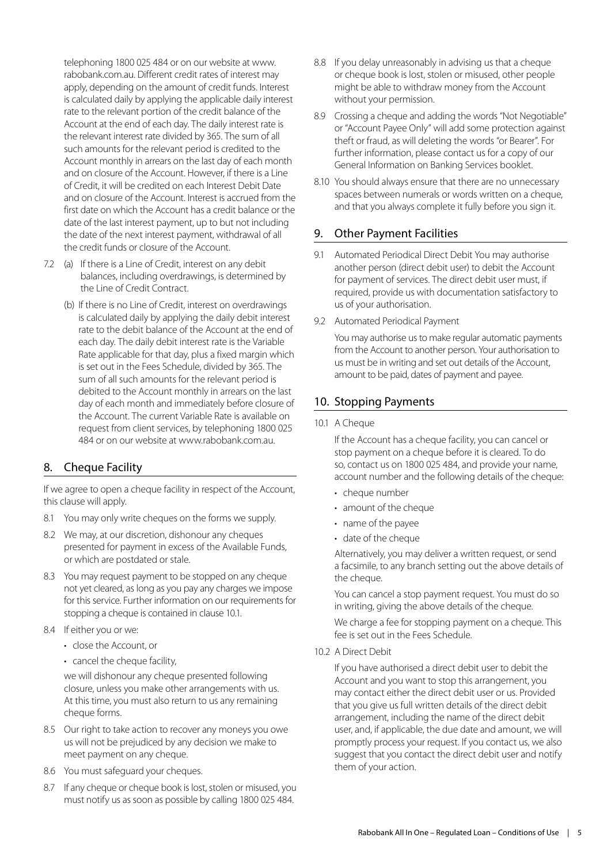telephoning 1800 025 484 or on our website at www. rabobank.com.au. Different credit rates of interest may apply, depending on the amount of credit funds. Interest is calculated daily by applying the applicable daily interest rate to the relevant portion of the credit balance of the Account at the end of each day. The daily interest rate is the relevant interest rate divided by 365. The sum of all such amounts for the relevant period is credited to the Account monthly in arrears on the last day of each month and on closure of the Account. However, if there is a Line of Credit, it will be credited on each Interest Debit Date and on closure of the Account. Interest is accrued from the first date on which the Account has a credit balance or the date of the last interest payment, up to but not including the date of the next interest payment, withdrawal of all the credit funds or closure of the Account.

- 7.2 (a) If there is a Line of Credit, interest on any debit balances, including overdrawings, is determined by the Line of Credit Contract.
	- (b) If there is no Line of Credit, interest on overdrawings is calculated daily by applying the daily debit interest rate to the debit balance of the Account at the end of each day. The daily debit interest rate is the Variable Rate applicable for that day, plus a fixed margin which is set out in the Fees Schedule, divided by 365. The sum of all such amounts for the relevant period is debited to the Account monthly in arrears on the last day of each month and immediately before closure of the Account. The current Variable Rate is available on request from client services, by telephoning 1800 025 484 or on our website at www.rabobank.com.au.

#### 8. Cheque Facility

If we agree to open a cheque facility in respect of the Account, this clause will apply.

- 8.1 You may only write cheques on the forms we supply.
- 8.2 We may, at our discretion, dishonour any cheques presented for payment in excess of the Available Funds, or which are postdated or stale.
- 8.3 You may request payment to be stopped on any cheque not yet cleared, as long as you pay any charges we impose for this service. Further information on our requirements for stopping a cheque is contained in clause 10.1.
- 8.4 If either you or we:
	- close the Account, or
	- cancel the cheque facility,

we will dishonour any cheque presented following closure, unless you make other arrangements with us. At this time, you must also return to us any remaining cheque forms.

- 8.5 Our right to take action to recover any moneys you owe us will not be prejudiced by any decision we make to meet payment on any cheque.
- 8.6 You must safeguard your cheques.
- 8.7 If any cheque or cheque book is lost, stolen or misused, you must notify us as soon as possible by calling 1800 025 484.
- 8.8 If you delay unreasonably in advising us that a cheque or cheque book is lost, stolen or misused, other people might be able to withdraw money from the Account without your permission.
- 8.9 Crossing a cheque and adding the words "Not Negotiable" or "Account Payee Only" will add some protection against theft or fraud, as will deleting the words "or Bearer". For further information, please contact us for a copy of our General Information on Banking Services booklet.
- 8.10 You should always ensure that there are no unnecessary spaces between numerals or words written on a cheque, and that you always complete it fully before you sign it.

#### 9. Other Payment Facilities

- 9.1 Automated Periodical Direct Debit You may authorise another person (direct debit user) to debit the Account for payment of services. The direct debit user must, if required, provide us with documentation satisfactory to us of your authorisation.
- 9.2 Automated Periodical Payment

You may authorise us to make regular automatic payments from the Account to another person. Your authorisation to us must be in writing and set out details of the Account, amount to be paid, dates of payment and payee.

#### 10. Stopping Payments

#### 10.1 A Cheque

If the Account has a cheque facility, you can cancel or stop payment on a cheque before it is cleared. To do so, contact us on 1800 025 484, and provide your name, account number and the following details of the cheque:

- cheque number
- amount of the cheque
- name of the payee
- date of the cheque

Alternatively, you may deliver a written request, or send a facsimile, to any branch setting out the above details of the cheque.

You can cancel a stop payment request. You must do so in writing, giving the above details of the cheque.

We charge a fee for stopping payment on a cheque. This fee is set out in the Fees Schedule.

10.2 A Direct Debit

If you have authorised a direct debit user to debit the Account and you want to stop this arrangement, you may contact either the direct debit user or us. Provided that you give us full written details of the direct debit arrangement, including the name of the direct debit user, and, if applicable, the due date and amount, we will promptly process your request. If you contact us, we also suggest that you contact the direct debit user and notify them of your action.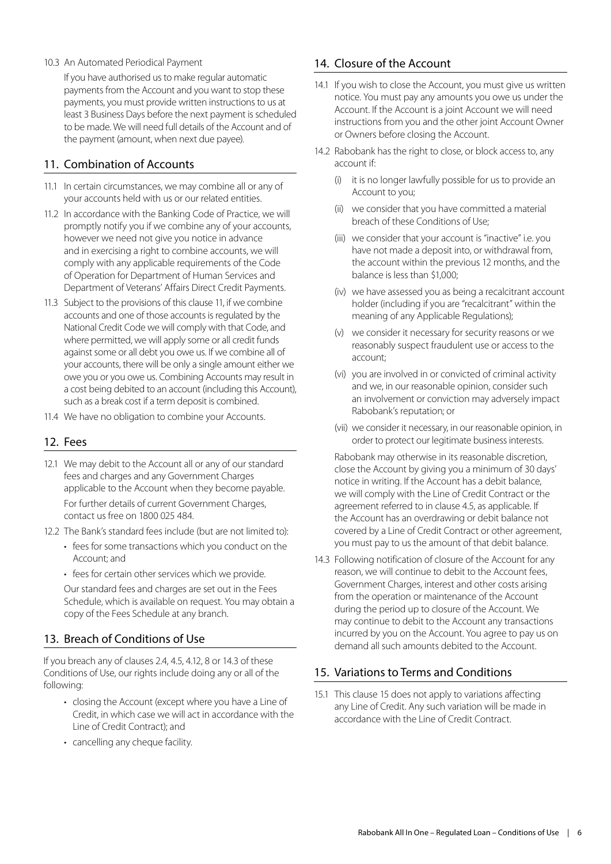#### 10.3 An Automated Periodical Payment

If you have authorised us to make regular automatic payments from the Account and you want to stop these payments, you must provide written instructions to us at least 3 Business Days before the next payment is scheduled to be made. We will need full details of the Account and of the payment (amount, when next due payee).

#### 11. Combination of Accounts

- 11.1 In certain circumstances, we may combine all or any of your accounts held with us or our related entities.
- 11.2 In accordance with the Banking Code of Practice, we will promptly notify you if we combine any of your accounts, however we need not give you notice in advance and in exercising a right to combine accounts, we will comply with any applicable requirements of the Code of Operation for Department of Human Services and Department of Veterans' Affairs Direct Credit Payments.
- 11.3 Subject to the provisions of this clause 11, if we combine accounts and one of those accounts is regulated by the National Credit Code we will comply with that Code, and where permitted, we will apply some or all credit funds against some or all debt you owe us. If we combine all of your accounts, there will be only a single amount either we owe you or you owe us. Combining Accounts may result in a cost being debited to an account (including this Account), such as a break cost if a term deposit is combined.
- 11.4 We have no obligation to combine your Accounts.

#### 12. Fees

- 12.1 We may debit to the Account all or any of our standard fees and charges and any Government Charges applicable to the Account when they become payable. For further details of current Government Charges, contact us free on 1800 025 484.
- 12.2 The Bank's standard fees include (but are not limited to):
	- fees for some transactions which you conduct on the Account; and
	- fees for certain other services which we provide.

Our standard fees and charges are set out in the Fees Schedule, which is available on request. You may obtain a copy of the Fees Schedule at any branch.

#### 13. Breach of Conditions of Use

If you breach any of clauses 2.4, 4.5, 4.12, 8 or 14.3 of these Conditions of Use, our rights include doing any or all of the following:

- closing the Account (except where you have a Line of Credit, in which case we will act in accordance with the Line of Credit Contract); and
- cancelling any cheque facility.

#### 14. Closure of the Account

- 14.1 If you wish to close the Account, you must give us written notice. You must pay any amounts you owe us under the Account. If the Account is a joint Account we will need instructions from you and the other joint Account Owner or Owners before closing the Account.
- 14.2 Rabobank has the right to close, or block access to, any account if:
	- (i) it is no longer lawfully possible for us to provide an Account to you;
	- (ii) we consider that you have committed a material breach of these Conditions of Use;
	- (iii) we consider that your account is "inactive" i.e. you have not made a deposit into, or withdrawal from, the account within the previous 12 months, and the balance is less than \$1,000;
	- (iv) we have assessed you as being a recalcitrant account holder (including if you are "recalcitrant" within the meaning of any Applicable Regulations);
	- (v) we consider it necessary for security reasons or we reasonably suspect fraudulent use or access to the account;
	- (vi) you are involved in or convicted of criminal activity and we, in our reasonable opinion, consider such an involvement or conviction may adversely impact Rabobank's reputation; or
	- (vii) we consider it necessary, in our reasonable opinion, in order to protect our legitimate business interests.

Rabobank may otherwise in its reasonable discretion, close the Account by giving you a minimum of 30 days' notice in writing. If the Account has a debit balance, we will comply with the Line of Credit Contract or the agreement referred to in clause 4.5, as applicable. If the Account has an overdrawing or debit balance not covered by a Line of Credit Contract or other agreement, you must pay to us the amount of that debit balance.

14.3 Following notification of closure of the Account for any reason, we will continue to debit to the Account fees, Government Charges, interest and other costs arising from the operation or maintenance of the Account during the period up to closure of the Account. We may continue to debit to the Account any transactions incurred by you on the Account. You agree to pay us on demand all such amounts debited to the Account.

#### 15. Variations to Terms and Conditions

15.1 This clause 15 does not apply to variations affecting any Line of Credit. Any such variation will be made in accordance with the Line of Credit Contract.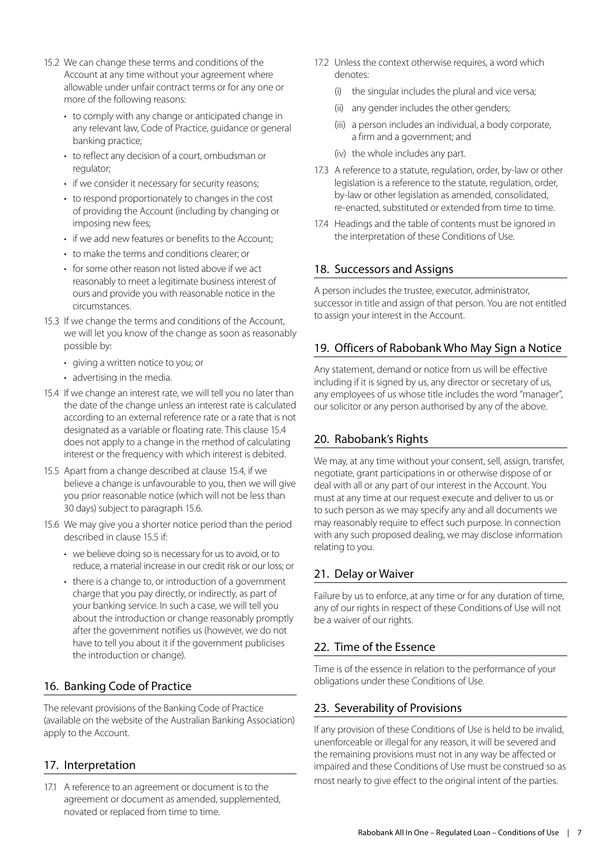- 15.2 We can change these terms and conditions of the Account at any time without your agreement where allowable under unfair contract terms or for any one or more of the following reasons:
	- to comply with any change or anticipated change in any relevant law, Code of Practice, guidance or general banking practice;
	- to reflect any decision of a court, ombudsman or regulator;
	- if we consider it necessary for security reasons;
	- to respond proportionately to changes in the cost of providing the Account (including by changing or imposing new fees;
	- if we add new features or benefits to the Account;
	- to make the terms and conditions clearer; or
	- for some other reason not listed above if we act reasonably to meet a legitimate business interest of ours and provide you with reasonable notice in the circumstances.
- 15.3 If we change the terms and conditions of the Account, we will let you know of the change as soon as reasonably possible by:
	- giving a written notice to you; or
	- advertising in the media.
- 15.4 If we change an interest rate, we will tell you no later than the date of the change unless an interest rate is calculated according to an external reference rate or a rate that is not designated as a variable or floating rate. This clause 15.4 does not apply to a change in the method of calculating interest or the frequency with which interest is debited.
- 15.5 Apart from a change described at clause 15.4, if we believe a change is unfavourable to you, then we will give you prior reasonable notice (which will not be less than 30 days) subject to paragraph 15.6.
- 15.6 We may give you a shorter notice period than the period described in clause 15.5 if:
	- we believe doing so is necessary for us to avoid, or to reduce, a material increase in our credit risk or our loss; or
	- there is a change to, or introduction of a government charge that you pay directly, or indirectly, as part of your banking service. In such a case, we will tell you about the introduction or change reasonably promptly after the government notifies us (however, we do not have to tell you about it if the government publicises the introduction or change).

#### 16. Banking Code of Practice

The relevant provisions of the Banking Code of Practice (available on the website of the Australian Banking Association) apply to the Account.

#### 17. Interpretation

17.1 A reference to an agreement or document is to the agreement or document as amended, supplemented, novated or replaced from time to time.

- 17.2 Unless the context otherwise requires, a word which denotes:
	- (i) the singular includes the plural and vice versa;
	- (ii) any gender includes the other genders;
	- (iii) a person includes an individual, a body corporate, a firm and a government; and
	- (iv) the whole includes any part.
- 17.3 A reference to a statute, regulation, order, by-law or other legislation is a reference to the statute, regulation, order, by-law or other legislation as amended, consolidated, re-enacted, substituted or extended from time to time.
- 17.4 Headings and the table of contents must be ignored in the interpretation of these Conditions of Use.

#### 18. Successors and Assigns

A person includes the trustee, executor, administrator, successor in title and assign of that person. You are not entitled to assign your interest in the Account.

#### 19. Officers of Rabobank Who May Sign a Notice

Any statement, demand or notice from us will be effective including if it is signed by us, any director or secretary of us, any employees of us whose title includes the word "manager", our solicitor or any person authorised by any of the above.

#### 20. Rabobank's Rights

We may, at any time without your consent, sell, assign, transfer, negotiate, grant participations in or otherwise dispose of or deal with all or any part of our interest in the Account. You must at any time at our request execute and deliver to us or to such person as we may specify any and all documents we may reasonably require to effect such purpose. In connection with any such proposed dealing, we may disclose information relating to you.

#### 21. Delay or Waiver

Failure by us to enforce, at any time or for any duration of time, any of our rights in respect of these Conditions of Use will not be a waiver of our rights.

#### 22. Time of the Essence

Time is of the essence in relation to the performance of your obligations under these Conditions of Use.

#### 23. Severability of Provisions

If any provision of these Conditions of Use is held to be invalid, unenforceable or illegal for any reason, it will be severed and the remaining provisions must not in any way be affected or impaired and these Conditions of Use must be construed so as most nearly to give effect to the original intent of the parties.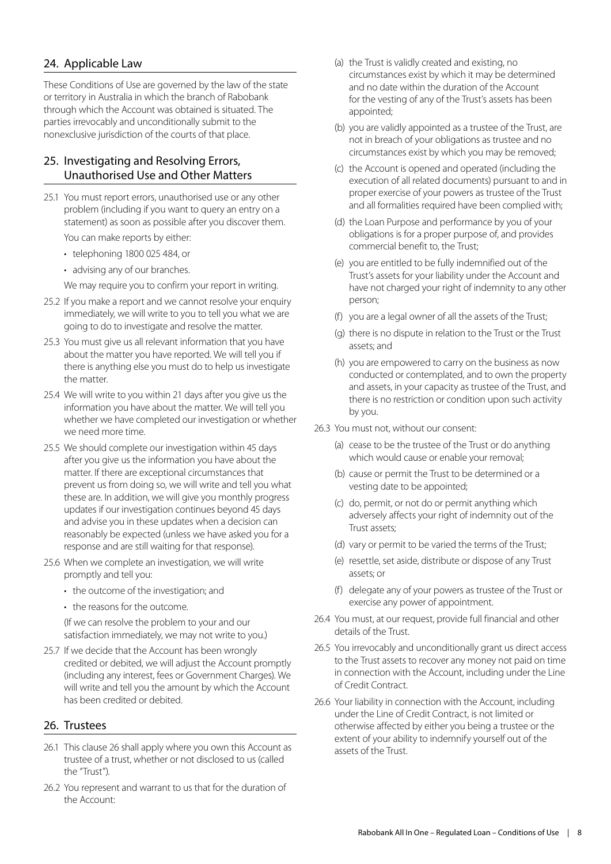#### 24. Applicable Law

These Conditions of Use are governed by the law of the state or territory in Australia in which the branch of Rabobank through which the Account was obtained is situated. The parties irrevocably and unconditionally submit to the nonexclusive jurisdiction of the courts of that place.

#### 25. Investigating and Resolving Errors, Unauthorised Use and Other Matters

25.1 You must report errors, unauthorised use or any other problem (including if you want to query an entry on a statement) as soon as possible after you discover them.

You can make reports by either:

- telephoning 1800 025 484, or
- advising any of our branches.
- We may require you to confirm your report in writing.
- 25.2 If you make a report and we cannot resolve your enquiry immediately, we will write to you to tell you what we are going to do to investigate and resolve the matter.
- 25.3 You must give us all relevant information that you have about the matter you have reported. We will tell you if there is anything else you must do to help us investigate the matter.
- 25.4 We will write to you within 21 days after you give us the information you have about the matter. We will tell you whether we have completed our investigation or whether we need more time.
- 25.5 We should complete our investigation within 45 days after you give us the information you have about the matter. If there are exceptional circumstances that prevent us from doing so, we will write and tell you what these are. In addition, we will give you monthly progress updates if our investigation continues beyond 45 days and advise you in these updates when a decision can reasonably be expected (unless we have asked you for a response and are still waiting for that response).
- 25.6 When we complete an investigation, we will write promptly and tell you:
	- the outcome of the investigation; and
	- the reasons for the outcome.

(If we can resolve the problem to your and our satisfaction immediately, we may not write to you.)

25.7 If we decide that the Account has been wrongly credited or debited, we will adjust the Account promptly (including any interest, fees or Government Charges). We will write and tell you the amount by which the Account has been credited or debited.

#### 26. Trustees

- 26.1 This clause 26 shall apply where you own this Account as trustee of a trust, whether or not disclosed to us (called the "Trust").
- 26.2 You represent and warrant to us that for the duration of the Account:
- (a) the Trust is validly created and existing, no circumstances exist by which it may be determined and no date within the duration of the Account for the vesting of any of the Trust's assets has been appointed;
- (b) you are validly appointed as a trustee of the Trust, are not in breach of your obligations as trustee and no circumstances exist by which you may be removed;
- (c) the Account is opened and operated (including the execution of all related documents) pursuant to and in proper exercise of your powers as trustee of the Trust and all formalities required have been complied with;
- (d) the Loan Purpose and performance by you of your obligations is for a proper purpose of, and provides commercial benefit to, the Trust;
- (e) you are entitled to be fully indemnified out of the Trust's assets for your liability under the Account and have not charged your right of indemnity to any other person;
- (f) you are a legal owner of all the assets of the Trust;
- (g) there is no dispute in relation to the Trust or the Trust assets; and
- (h) you are empowered to carry on the business as now conducted or contemplated, and to own the property and assets, in your capacity as trustee of the Trust, and there is no restriction or condition upon such activity by you.
- 26.3 You must not, without our consent:
	- (a) cease to be the trustee of the Trust or do anything which would cause or enable your removal;
	- (b) cause or permit the Trust to be determined or a vesting date to be appointed;
	- (c) do, permit, or not do or permit anything which adversely affects your right of indemnity out of the Trust assets;
	- (d) vary or permit to be varied the terms of the Trust;
	- (e) resettle, set aside, distribute or dispose of any Trust assets; or
	- (f) delegate any of your powers as trustee of the Trust or exercise any power of appointment.
- 26.4 You must, at our request, provide full financial and other details of the Trust.
- 26.5 You irrevocably and unconditionally grant us direct access to the Trust assets to recover any money not paid on time in connection with the Account, including under the Line of Credit Contract.
- 26.6 Your liability in connection with the Account, including under the Line of Credit Contract, is not limited or otherwise affected by either you being a trustee or the extent of your ability to indemnify yourself out of the assets of the Trust.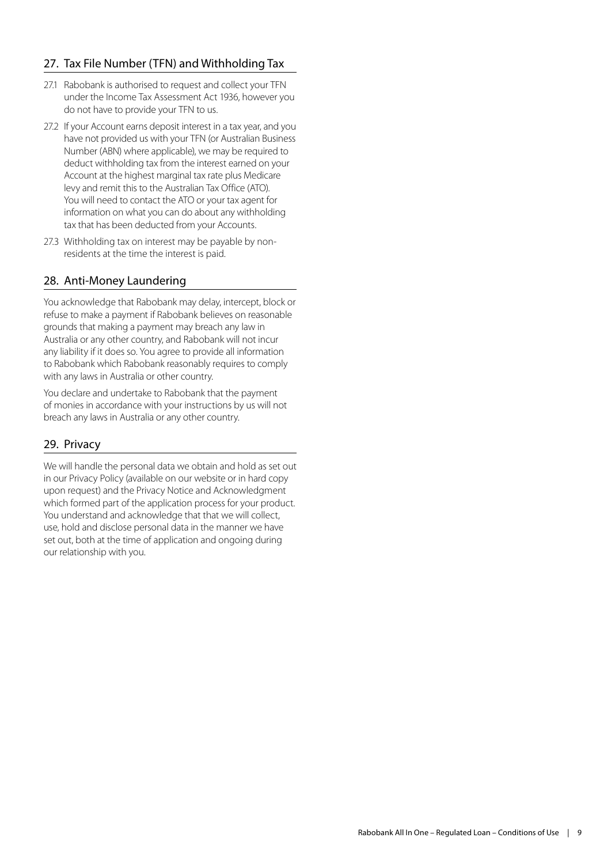#### 27. Tax File Number (TFN) and Withholding Tax

- 27.1 Rabobank is authorised to request and collect your TFN under the Income Tax Assessment Act 1936, however you do not have to provide your TFN to us.
- 27.2 If your Account earns deposit interest in a tax year, and you have not provided us with your TFN (or Australian Business Number (ABN) where applicable), we may be required to deduct withholding tax from the interest earned on your Account at the highest marginal tax rate plus Medicare levy and remit this to the Australian Tax Office (ATO). You will need to contact the ATO or your tax agent for information on what you can do about any withholding tax that has been deducted from your Accounts.
- 27.3 Withholding tax on interest may be payable by nonresidents at the time the interest is paid.

#### 28. Anti-Money Laundering

You acknowledge that Rabobank may delay, intercept, block or refuse to make a payment if Rabobank believes on reasonable grounds that making a payment may breach any law in Australia or any other country, and Rabobank will not incur any liability if it does so. You agree to provide all information to Rabobank which Rabobank reasonably requires to comply with any laws in Australia or other country.

You declare and undertake to Rabobank that the payment of monies in accordance with your instructions by us will not breach any laws in Australia or any other country.

#### 29. Privacy

We will handle the personal data we obtain and hold as set out in our Privacy Policy (available on our website or in hard copy upon request) and the Privacy Notice and Acknowledgment which formed part of the application process for your product. You understand and acknowledge that that we will collect, use, hold and disclose personal data in the manner we have set out, both at the time of application and ongoing during our relationship with you.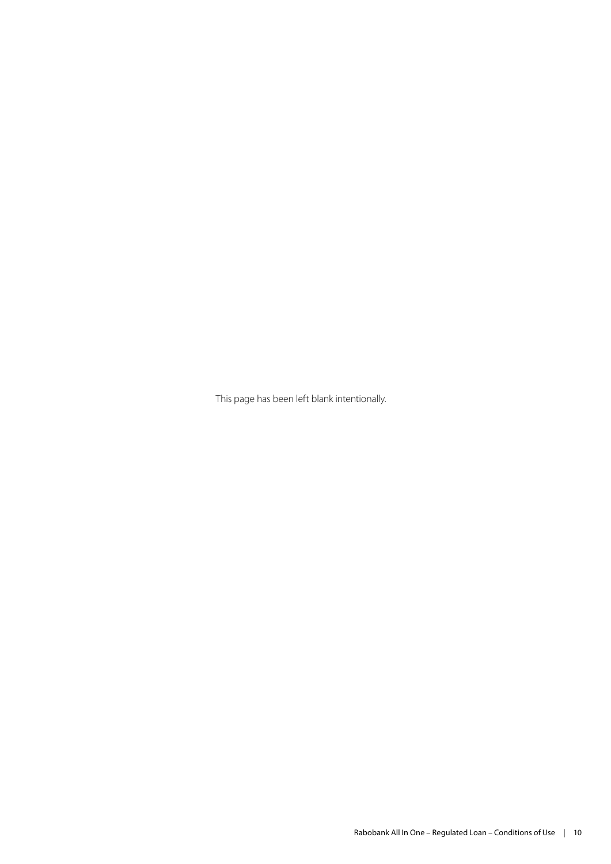This page has been left blank intentionally.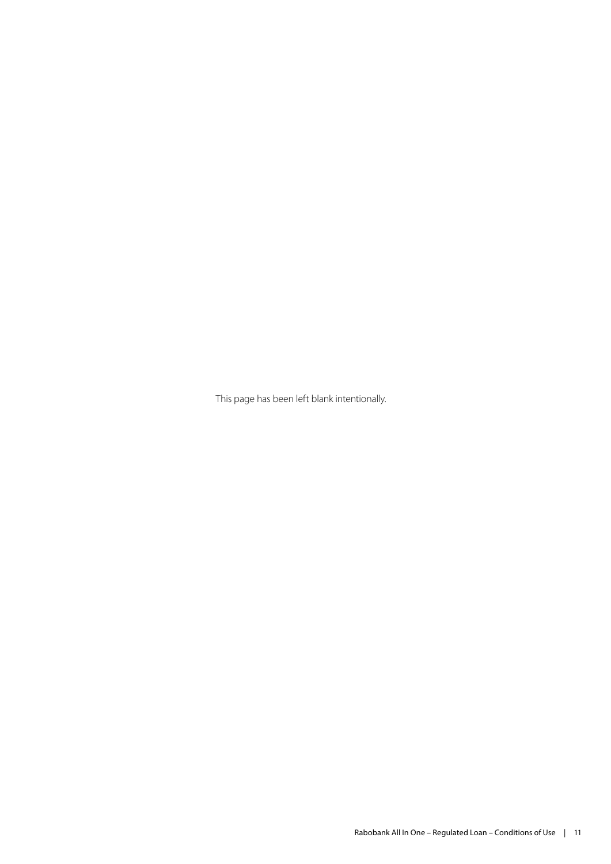This page has been left blank intentionally.